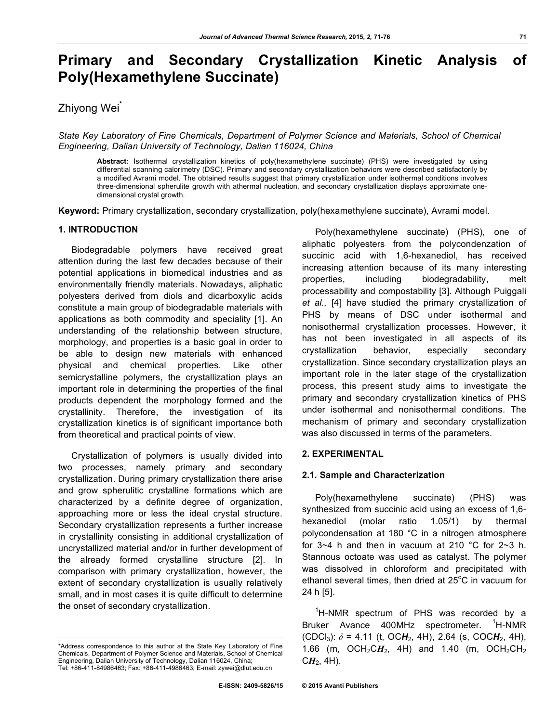# **Primary and Secondary Crystallization Kinetic Analysis of Poly(Hexamethylene Succinate)**

## Zhiyong Wei<sup>^</sup>

*State Key Laboratory of Fine Chemicals, Department of Polymer Science and Materials, School of Chemical Engineering, Dalian University of Technology, Dalian 116024, China*

**Abstract:** Isothermal crystallization kinetics of poly(hexamethylene succinate) (PHS) were investigated by using differential scanning calorimetry (DSC). Primary and secondary crystallization behaviors were described satisfactorily by a modified Avrami model. The obtained results suggest that primary crystallization under isothermal conditions involves three-dimensional spherulite growth with athermal nucleation, and secondary crystallization displays approximate onedimensional crystal growth.

**Keyword:** Primary crystallization, secondary crystallization, poly(hexamethylene succinate), Avrami model.

### **1. INTRODUCTION**

Biodegradable polymers have received great attention during the last few decades because of their potential applications in biomedical industries and as environmentally friendly materials. Nowadays, aliphatic polyesters derived from diols and dicarboxylic acids constitute a main group of biodegradable materials with applications as both commodity and speciality [1]. An understanding of the relationship between structure, morphology, and properties is a basic goal in order to be able to design new materials with enhanced physical and chemical properties. Like other semicrystalline polymers, the crystallization plays an important role in determining the properties of the final products dependent the morphology formed and the crystallinity. Therefore, the investigation of its crystallization kinetics is of significant importance both from theoretical and practical points of view.

Crystallization of polymers is usually divided into two processes, namely primary and secondary crystallization. During primary crystallization there arise and grow spherulitic crystalline formations which are characterized by a definite degree of organization, approaching more or less the ideal crystal structure. Secondary crystallization represents a further increase in crystallinity consisting in additional crystallization of uncrystallized material and/or in further development of the already formed crystalline structure [2]. In comparison with primary crystallization, however, the extent of secondary crystallization is usually relatively small, and in most cases it is quite difficult to determine the onset of secondary crystallization.

Poly(hexamethylene succinate) (PHS), one of aliphatic polyesters from the polycondenzation of succinic acid with 1,6-hexanediol, has received increasing attention because of its many interesting properties, including biodegradability, melt processability and compostability [3]. Although Puiggali *et al.,* [4] have studied the primary crystallization of PHS by means of DSC under isothermal and nonisothermal crystallization processes. However, it has not been investigated in all aspects of its crystallization behavior, especially secondary crystallization. Since secondary crystallization plays an important role in the later stage of the crystallization process, this present study aims to investigate the primary and secondary crystallization kinetics of PHS under isothermal and nonisothermal conditions. The mechanism of primary and secondary crystallization was also discussed in terms of the parameters.

## **2. EXPERIMENTAL**

#### **2.1. Sample and Characterization**

Poly(hexamethylene succinate) (PHS) was synthesized from succinic acid using an excess of 1,6 hexanediol (molar ratio 1.05/1) by thermal polycondensation at 180 °C in a nitrogen atmosphere for  $3~4$  h and then in vacuum at 210 °C for  $2~3$  h. Stannous octoate was used as catalyst. The polymer was dissolved in chloroform and precipitated with ethanol several times, then dried at  $25^{\circ}$ C in vacuum for 24 h [5].

<sup>1</sup>H-NMR spectrum of PHS was recorded by a Bruker Avance 400MHz spectrometer. <sup>1</sup>  $\mathsf{H}\text{-}\mathsf{NMR}$ (CDCl<sub>3</sub>):  $\delta$  = 4.11 (t, OC**H**<sub>2</sub>, 4H), 2.64 (s, COC**H**<sub>2</sub>, 4H), 1.66 (m, OCH<sub>2</sub>CH<sub>2</sub>, 4H) and 1.40 (m, OCH<sub>2</sub>CH<sub>2</sub>  $CH<sub>2</sub>$ , 4H).

<sup>\*</sup>Address correspondence to this author at the State Key Laboratory of Fine Chemicals, Department of Polymer Science and Materials, School of Chemical Engineering, Dalian University of Technology, Dalian 116024, China; Tel: +86-411-84986463; Fax: +86-411-4986463; E-mail: zywei@dlut.edu.cn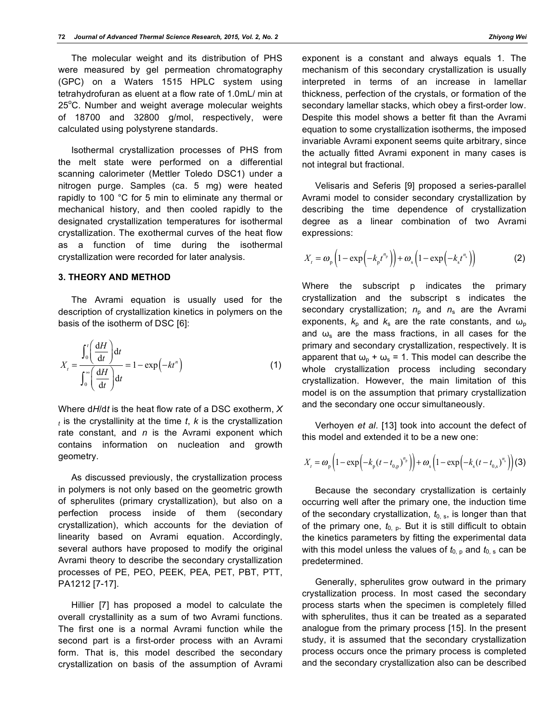The molecular weight and its distribution of PHS were measured by gel permeation chromatography (GPC) on a Waters 1515 HPLC system using tetrahydrofuran as eluent at a flow rate of 1.0mL/ min at 25°C. Number and weight average molecular weights of 18700 and 32800 g/mol, respectively, were calculated using polystyrene standards.

Isothermal crystallization processes of PHS from the melt state were performed on a differential scanning calorimeter (Mettler Toledo DSC1) under a nitrogen purge. Samples (ca. 5 mg) were heated rapidly to 100 °C for 5 min to eliminate any thermal or mechanical history, and then cooled rapidly to the designated crystallization temperatures for isothermal crystallization. The exothermal curves of the heat flow as a function of time during the isothermal crystallization were recorded for later analysis.

#### **3. THEORY AND METHOD**

The Avrami equation is usually used for the description of crystallization kinetics in polymers on the basis of the isotherm of DSC [6]:

$$
X_{t} = \frac{\int_{0}^{t} \left(\frac{dH}{dt}\right) dt}{\int_{0}^{\infty} \left(\frac{dH}{dt}\right) dt} = 1 - \exp\left(-kt^{n}\right)
$$
(1)

Where d*H*/d*t* is the heat flow rate of a DSC exotherm, *X <sup>t</sup>* is the crystallinity at the time *t*, *k* is the crystallization rate constant, and *n* is the Avrami exponent which contains information on nucleation and growth geometry.

As discussed previously, the crystallization process in polymers is not only based on the geometric growth of spherulites (primary crystallization), but also on a perfection process inside of them (secondary crystallization), which accounts for the deviation of linearity based on Avrami equation. Accordingly, several authors have proposed to modify the original Avrami theory to describe the secondary crystallization processes of PE, PEO, PEEK, PEA, PET, PBT, PTT, PA1212 [7-17].

Hillier [7] has proposed a model to calculate the overall crystallinity as a sum of two Avrami functions. The first one is a normal Avrami function while the second part is a first-order process with an Avrami form. That is, this model described the secondary crystallization on basis of the assumption of Avrami

exponent is a constant and always equals 1. The mechanism of this secondary crystallization is usually interpreted in terms of an increase in lamellar thickness, perfection of the crystals, or formation of the secondary lamellar stacks, which obey a first-order low. Despite this model shows a better fit than the Avrami equation to some crystallization isotherms, the imposed invariable Avrami exponent seems quite arbitrary, since the actually fitted Avrami exponent in many cases is not integral but fractional.

Velisaris and Seferis [9] proposed a series-parallel Avrami model to consider secondary crystallization by describing the time dependence of crystallization degree as a linear combination of two Avrami expressions:

$$
X_{t} = \omega_{p} \left( 1 - \exp\left( -k_{p} t^{n_{p}} \right) \right) + \omega_{s} \left( 1 - \exp\left( -k_{s} t^{n_{s}} \right) \right)
$$
 (2)

Where the subscript p indicates the primary crystallization and the subscript s indicates the secondary crystallization;  $n_p$  and  $n_s$  are the Avrami exponents,  $k_p$  and  $k_s$  are the rate constants, and  $\omega_p$ and  $\omega_{s}$  are the mass fractions, in all cases for the primary and secondary crystallization, respectively. It is apparent that  $\omega_{p} + \omega_{s} = 1$ . This model can describe the whole crystallization process including secondary crystallization. However, the main limitation of this model is on the assumption that primary crystallization and the secondary one occur simultaneously.

Verhoyen *et al*. [13] took into account the defect of this model and extended it to be a new one:

$$
X_{t} = \omega_{\rm p} \left( 1 - \exp \left( -k_{\rm p} (t - t_{0,\rm p})^{n_{\rm p}} \right) \right) + \omega_{\rm s} \left( 1 - \exp \left( -k_{\rm s} (t - t_{0,\rm s})^{n_{\rm s}} \right) \right)
$$
(3)

Because the secondary crystallization is certainly occurring well after the primary one, the induction time of the secondary crystallization,  $t_{0.8}$ , is longer than that of the primary one,  $t_{0, p}$ . But it is still difficult to obtain the kinetics parameters by fitting the experimental data with this model unless the values of  $t_{0, p}$  and  $t_{0, s}$  can be predetermined.

Generally, spherulites grow outward in the primary crystallization process. In most cased the secondary process starts when the specimen is completely filled with spherulites, thus it can be treated as a separated analogue from the primary process [15]. In the present study, it is assumed that the secondary crystallization process occurs once the primary process is completed and the secondary crystallization also can be described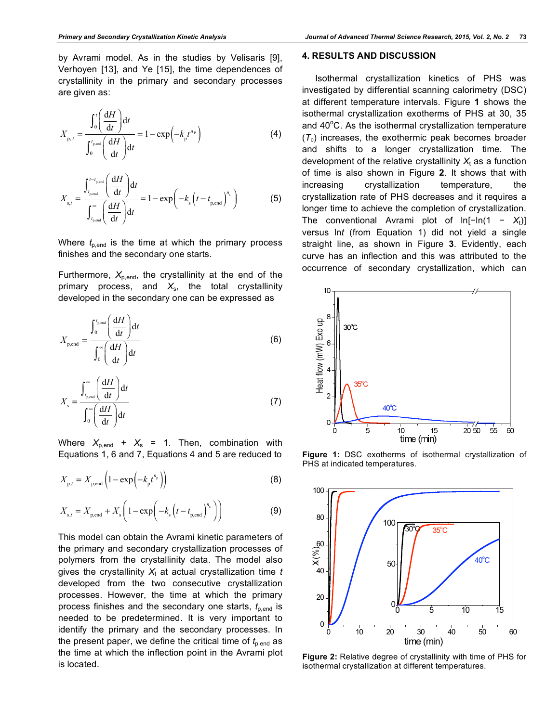by Avrami model. As in the studies by Velisaris [9], Verhoyen [13], and Ye [15], the time dependences of crystallinity in the primary and secondary processes are given as:

$$
X_{p,t} = \frac{\int_0^t \left(\frac{dH}{dt}\right) dt}{\int_0^{t_{p,\text{end}}} \left(\frac{dH}{dt}\right) dt} = 1 - \exp\left(-k_p t^{n_p}\right)
$$
(4)

$$
X_{\rm s,t} = \frac{\int_{t_{\rm p, end}}^{t - t_{\rm p, end}} \left(\frac{\mathrm{d}H}{\mathrm{d}t}\right) \mathrm{d}t}{\int_{t_{\rm p, end}}^{\infty} \left(\frac{\mathrm{d}H}{\mathrm{d}t}\right) \mathrm{d}t} = 1 - \exp\left(-k_{\rm s}\left(t - t_{\rm p, end}\right)^{n_{\rm s}}\right) \tag{5}
$$

Where  $t_{p,\text{end}}$  is the time at which the primary process finishes and the secondary one starts.

Furthermore,  $X_{p,\text{end}}$ , the crystallinity at the end of the primary process, and *X*s, the total crystallinity developed in the secondary one can be expressed as

$$
X_{\text{p,end}} = \frac{\int_0^{t_{\text{p,end}}} \left(\frac{\mathrm{d}H}{\mathrm{d}t}\right) \mathrm{d}t}{\int_0^{\infty} \left(\frac{\mathrm{d}H}{\mathrm{d}t}\right) \mathrm{d}t}
$$
(6)

$$
X_{\rm s} = \frac{\int_{t_{\rm p, end}}^{\infty} \left(\frac{\mathrm{d}H}{\mathrm{d}t}\right) \mathrm{d}t}{\int_{0}^{\infty} \left(\frac{\mathrm{d}H}{\mathrm{d}t}\right) \mathrm{d}t}
$$
(7)

Where  $X_{p,\text{end}} + X_s = 1$ . Then, combination with Equations 1, 6 and 7, Equations 4 and 5 are reduced to

$$
X_{\mathbf{p},t} = X_{\mathbf{p},\text{end}} \left( 1 - \exp\left( -k_{\mathbf{p}} t^{n_{\mathbf{p}}} \right) \right) \tag{8}
$$

$$
X_{s,t} = X_{p,\text{end}} + X_s \left( 1 - \exp\left( -k_s \left( t - t_{p,\text{end}} \right)^{n_s} \right) \right)
$$
(9)

This model can obtain the Avrami kinetic parameters of the primary and secondary crystallization processes of polymers from the crystallinity data. The model also gives the crystallinity  $X_t$  at actual crystallization time  $t$ developed from the two consecutive crystallization processes. However, the time at which the primary process finishes and the secondary one starts,  $t_{p,\text{end}}$  is needed to be predetermined. It is very important to identify the primary and the secondary processes. In the present paper, we define the critical time of  $t_{p,\text{end}}$  as the time at which the inflection point in the Avrami plot is located.

#### **4. RESULTS AND DISCUSSION**

Isothermal crystallization kinetics of PHS was investigated by differential scanning calorimetry (DSC) at different temperature intervals. Figure **1** shows the isothermal crystallization exotherms of PHS at 30, 35 and  $40^{\circ}$ C. As the isothermal crystallization temperature  $(T_c)$  increases, the exothermic peak becomes broader and shifts to a longer crystallization time. The development of the relative crystallinity  $X_t$  as a function of time is also shown in Figure **2**. It shows that with increasing crystallization temperature, the crystallization rate of PHS decreases and it requires a longer time to achieve the completion of crystallization. The conventional Avrami plot of  $ln[-ln(1 - X_t)]$ versus ln*t* (from Equation 1) did not yield a single straight line, as shown in Figure **3**. Evidently, each curve has an inflection and this was attributed to the occurrence of secondary crystallization, which can



**Figure 1:** DSC exotherms of isothermal crystallization of PHS at indicated temperatures.



**Figure 2:** Relative degree of crystallinity with time of PHS for isothermal crystallization at different temperatures.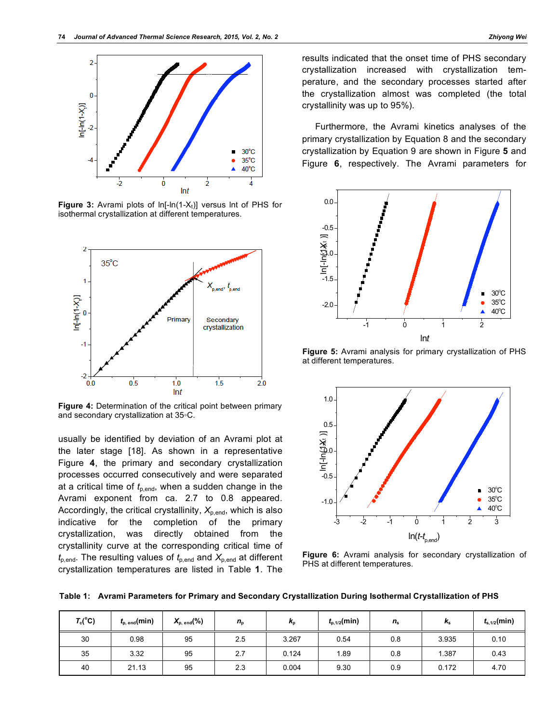

**Figure 3:** Avrami plots of  $In[-In(1-X<sub>t</sub>)]$  versus  $Int$  of PHS for isothermal crystallization at different temperatures.



**Figure 4:** Determination of the critical point between primary and secondary crystallization at 35◦C.

usually be identified by deviation of an Avrami plot at the later stage [18]. As shown in a representative Figure **4**, the primary and secondary crystallization processes occurred consecutively and were separated at a critical time of  $t_{p,\text{end}}$ , when a sudden change in the Avrami exponent from ca. 2.7 to 0.8 appeared. Accordingly, the critical crystallinity,  $X_{p,\text{end}}$ , which is also indicative for the completion of the primary crystallization, was directly obtained from the crystallinity curve at the corresponding critical time of  $t_{p,\text{end}}$ . The resulting values of  $t_{p,\text{end}}$  and  $X_{p,\text{end}}$  at different crystallization temperatures are listed in Table **1**. The

results indicated that the onset time of PHS secondary crystallization increased with crystallization temperature, and the secondary processes started after the crystallization almost was completed (the total crystallinity was up to 95%).

Furthermore, the Avrami kinetics analyses of the primary crystallization by Equation 8 and the secondary crystallization by Equation 9 are shown in Figure **5** and Figure **6**, respectively. The Avrami parameters for



**Figure 5:** Avrami analysis for primary crystallization of PHS at different temperatures.



**Figure 6:** Avrami analysis for secondary crystallization of PHS at different temperatures.

**Table 1: Avrami Parameters for Primary and Secondary Crystallization During Isothermal Crystallization of PHS**

| $T_c(^{\circ}C)$ | $t_{p, end}(min)$ | $X_{p, end}(%)$ | $n_{\rm p}$ | $n_{p}$ | $t_{p,1/2}$ (min) | $n_{\rm s}$ | Ŀ<br>$n_{\rm s}$ | $t_{s,1/2}$ (min) |
|------------------|-------------------|-----------------|-------------|---------|-------------------|-------------|------------------|-------------------|
| 30               | 0.98              | 95              | 2.5         | 3.267   | 0.54              | 0.8         | 3.935            | 0.10              |
| 35               | 3.32              | 95              | 2.7         | 0.124   | 1.89              | 0.8         | 1.387            | 0.43              |
| 40               | 21.13             | 95              | 2.3         | 0.004   | 9.30              | 0.9         | 0.172            | 4.70              |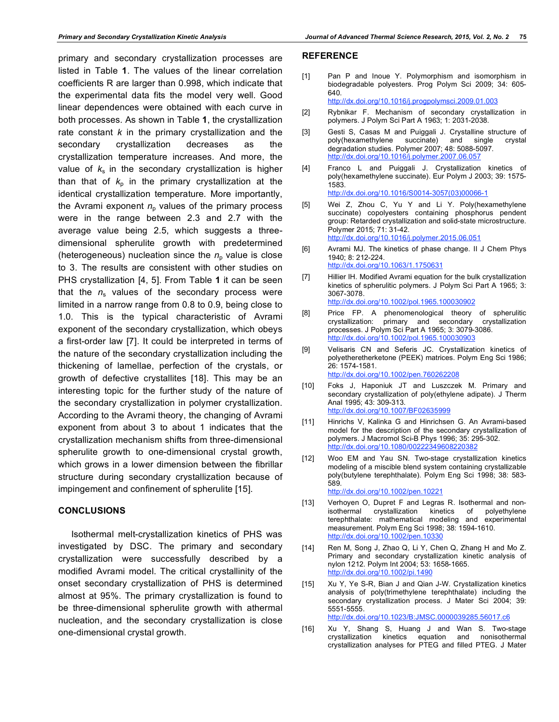primary and secondary crystallization processes are listed in Table **1**. The values of the linear correlation coefficients R are larger than 0.998, which indicate that the experimental data fits the model very well. Good linear dependences were obtained with each curve in both processes. As shown in Table **1**, the crystallization rate constant *k* in the primary crystallization and the secondary crystallization decreases as the crystallization temperature increases. And more, the value of  $k<sub>s</sub>$  in the secondary crystallization is higher than that of  $k<sub>p</sub>$  in the primary crystallization at the identical crystallization temperature. More importantly, the Avrami exponent  $n<sub>p</sub>$  values of the primary process were in the range between 2.3 and 2.7 with the average value being 2.5, which suggests a threedimensional spherulite growth with predetermined (heterogeneous) nucleation since the  $n<sub>o</sub>$  value is close to 3. The results are consistent with other studies on PHS crystallization [4, 5]. From Table **1** it can be seen that the  $n_s$  values of the secondary process were limited in a narrow range from 0.8 to 0.9, being close to 1.0. This is the typical characteristic of Avrami exponent of the secondary crystallization, which obeys a first-order law [7]. It could be interpreted in terms of the nature of the secondary crystallization including the thickening of lamellae, perfection of the crystals, or growth of defective crystallites [18]. This may be an interesting topic for the further study of the nature of the secondary crystallization in polymer crystallization. According to the Avrami theory, the changing of Avrami exponent from about 3 to about 1 indicates that the crystallization mechanism shifts from three-dimensional spherulite growth to one-dimensional crystal growth, which grows in a lower dimension between the fibrillar structure during secondary crystallization because of impingement and confinement of spherulite [15].

## **CONCLUSIONS**

Isothermal melt-crystallization kinetics of PHS was investigated by DSC. The primary and secondary crystallization were successfully described by a modified Avrami model. The critical crystallinity of the onset secondary crystallization of PHS is determined almost at 95%. The primary crystallization is found to be three-dimensional spherulite growth with athermal nucleation, and the secondary crystallization is close one-dimensional crystal growth.

#### **REFERENCE**

[1] Pan P and Inoue Y. Polymorphism and isomorphism in biodegradable polyesters. Prog Polym Sci 2009; 34: 605- 640.

http://dx.doi.org/10.1016/j.progpolymsci.2009.01.003

- [2] Rybnikar F. Mechanism of secondary crystallization in polymers. J Polym Sci Part A 1963; 1: 2031-2038.
- [3] Gesti S, Casas M and Puiggali J. Crystalline structure of poly(hexamethylene succinate) and single crystal degradation studies. Polymer 2007; 48: 5088-5097. http://dx.doi.org/10.1016/j.polymer.2007.06.057
- [4] Franco L and Puiggali J. Crystallization kinetics of poly(hexamethylene succinate). Eur Polym J 2003; 39: 1575- 1583. http://dx.doi.org/10.1016/S0014-3057(03)00066-1
- [5] Wei Z, Zhou C, Yu Y and Li Y. Poly(hexamethylene succinate) copolyesters containing phosphorus pendent group: Retarded crystallization and solid-state microstructure. Polymer 2015; 71: 31-42. http://dx.doi.org/10.1016/j.polymer.2015.06.051
- [6] Avrami MJ. The kinetics of phase change. II J Chem Phys 1940; 8: 212-224. http://dx.doi.org/10.1063/1.1750631
- [7] Hillier IH. Modified Avrami equation for the bulk crystallization kinetics of spherulitic polymers. J Polym Sci Part A 1965; 3: 3067-3078.
	- http://dx.doi.org/10.1002/pol.1965.100030902
- [8] Price FP. A phenomenological theory of spherulitic crystallization: primary and secondary crystallization processes. J Polym Sci Part A 1965; 3: 3079-3086. http://dx.doi.org/10.1002/pol.1965.100030903
- [9] Velisaris CN and Seferis JC. Crystallization kinetics of polyetheretherketone (PEEK) matrices. Polym Eng Sci 1986; 26: 1574-1581. http://dx.doi.org/10.1002/pen.760262208
- [10] Foks J, Haponiuk JT and Luszczek M. Primary and secondary crystallization of poly(ethylene adipate). J Therm Anal 1995; 43: 309-313. http://dx.doi.org/10.1007/BF02635999
- [11] Hinrichs V, Kalinka G and Hinrichsen G. An Avrami-based model for the description of the secondary crystallization of polymers. J Macromol Sci-B Phys 1996; 35: 295-302. http://dx.doi.org/10.1080/00222349608220382
- [12] Woo EM and Yau SN. Two-stage crystallization kinetics modeling of a miscible blend system containing crystallizable poly(butylene terephthalate). Polym Eng Sci 1998; 38: 583- 589. http://dx.doi.org/10.1002/pen.10221
- [13] Verhoyen O, Dupret F and Legras R. Isothermal and nonisothermal crystallization kinetics of polyethylene terephthalate: mathematical modeling and experimental measurement. Polym Eng Sci 1998; 38: 1594-1610. http://dx.doi.org/10.1002/pen.10330
- [14] Ren M, Song J, Zhao Q, Li Y, Chen Q, Zhang H and Mo Z. Primary and secondary crystallization kinetic analysis of nylon 1212. Polym Int 2004; 53: 1658-1665. http://dx.doi.org/10.1002/pi.1490
- [15] Xu Y, Ye S-R, Bian J and Qian J-W. Crystallization kinetics analysis of poly(trimethylene terephthalate) including the secondary crystallization process. J Mater Sci 2004; 39: 5551-5555.

http://dx.doi.org/10.1023/B:JMSC.0000039285.56017.c6

[16] Xu Y, Shang S, Huang J and Wan S. Two-stage crystallization kinetics equation and nonisothermal crystallization analyses for PTEG and filled PTEG. J Mater